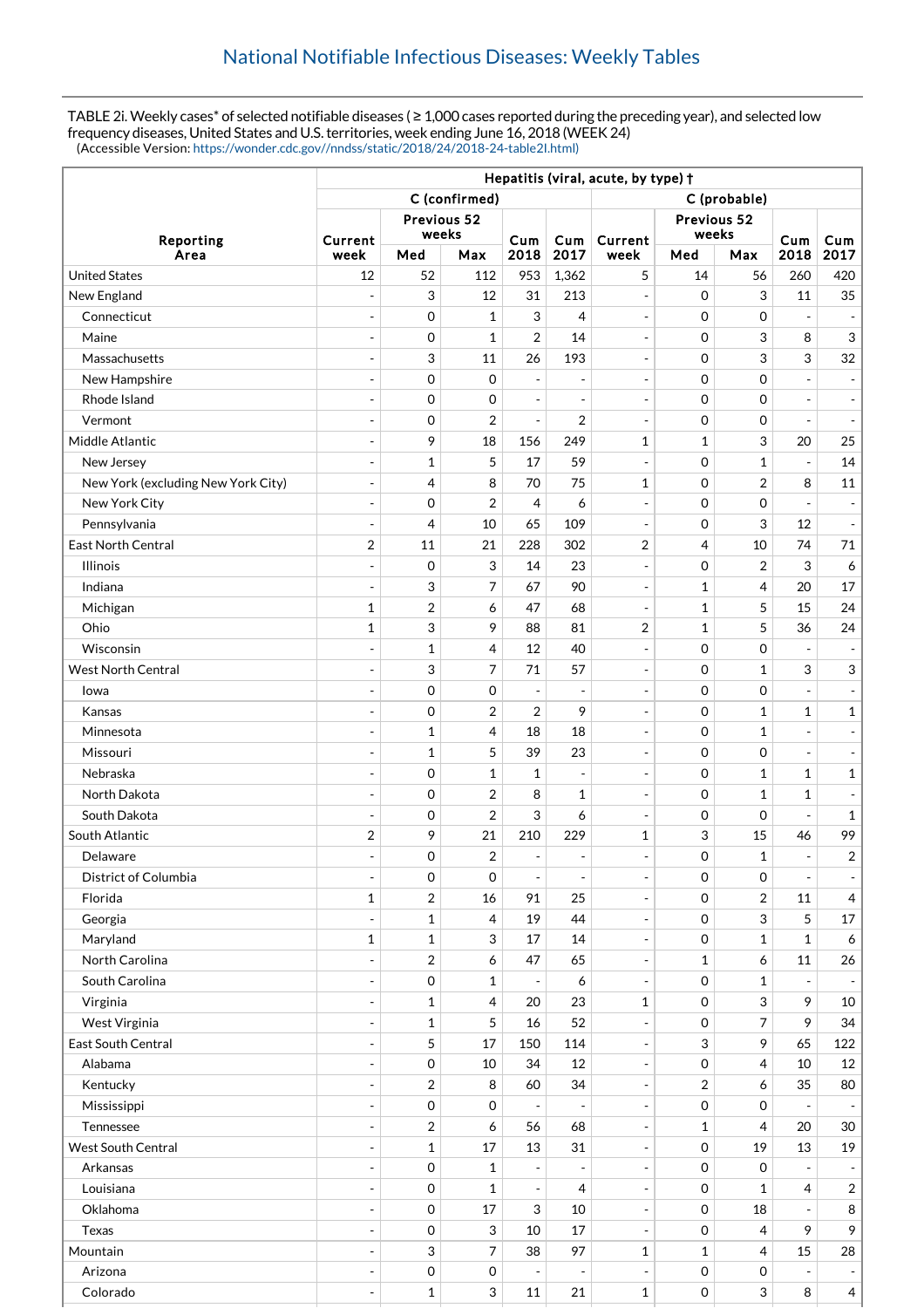TABLE 2i. Weekly cases\* of selected notifiable diseases ( ≥ 1,000 cases reported during the preceding year), and selected low frequency diseases, United States and U.S. territories, week ending June 16, 2018 (WEEK 24) (Accessible Version: [https://wonder.cdc.gov//nndss/static/2018/24/2018-24-table2I.html\)](https://wonder.cdc.gov//nndss/static/2018/24/2018-24-table2I.html)

|                                    | Hepatitis (viral, acute, by type) + |                     |                  |                              |                              |                          |                     |                           |                          |                           |  |
|------------------------------------|-------------------------------------|---------------------|------------------|------------------------------|------------------------------|--------------------------|---------------------|---------------------------|--------------------------|---------------------------|--|
|                                    | C (confirmed)                       |                     |                  |                              |                              | C (probable)             |                     |                           |                          |                           |  |
|                                    | Previous 52                         |                     |                  |                              | Previous 52                  |                          |                     |                           |                          |                           |  |
| Reporting                          | Current                             | weeks               |                  | Cum                          | Cum                          | Current                  | weeks               |                           | Cum                      | Cum                       |  |
| Area                               | week                                | Med                 | Max              | 2018                         | 2017                         | week                     | Med                 | Max                       | 2018                     | 2017                      |  |
| <b>United States</b>               | 12                                  | 52                  | 112              | 953                          | 1,362                        | 5                        | 14                  | 56                        | 260                      | 420                       |  |
| New England                        | ÷                                   | 3                   | 12               | 31                           | 213                          | $\overline{\phantom{a}}$ | $\mathbf 0$         | 3                         | 11                       | 35                        |  |
| Connecticut                        | $\overline{a}$                      | 0                   | 1                | 3                            | 4                            | $\overline{\phantom{a}}$ | $\mathbf 0$         | $\mathbf 0$               | ÷,                       |                           |  |
| Maine                              | $\overline{\phantom{a}}$            | 0                   | 1                | $\overline{2}$               | 14                           | $\overline{\phantom{a}}$ | $\mathbf 0$         | 3                         | 8                        | $\mathfrak{S}$            |  |
| Massachusetts                      | $\overline{\phantom{a}}$            | 3                   | 11               | 26                           | 193                          | $\overline{\phantom{a}}$ | $\mathbf 0$         | 3                         | 3                        | 32                        |  |
| New Hampshire                      | $\overline{a}$                      | $\mathbf 0$         | $\mathbf 0$      | $\overline{a}$               | $\overline{\phantom{a}}$     | $\blacksquare$           | $\mathbf 0$         | $\mathbf 0$               |                          |                           |  |
| Rhode Island                       | ÷,                                  | 0                   | $\mathbf 0$      | $\overline{\phantom{a}}$     | $\blacksquare$               | $\overline{\phantom{a}}$ | $\mathbf 0$         | $\mathbf 0$               | $\overline{a}$           | $\overline{\phantom{a}}$  |  |
| Vermont                            |                                     | 0                   | $\overline{2}$   | $\overline{\phantom{a}}$     | 2                            | $\overline{\phantom{a}}$ | $\mathbf 0$         | $\mathbf 0$               |                          |                           |  |
| Middle Atlantic                    | ÷                                   | 9                   | 18               | 156                          | 249                          | $\mathbf{1}$             | $\mathbf{1}$        | 3                         | 20                       | 25                        |  |
| New Jersey                         |                                     | $\mathbf 1$         | 5                | 17                           | 59                           | $\overline{\phantom{a}}$ | $\mathbf 0$         | $\mathbf{1}$              | $\overline{a}$           | 14                        |  |
| New York (excluding New York City) | $\qquad \qquad \blacksquare$        | $\overline{4}$      | 8                | 70                           | 75                           | $\mathbf{1}$             | $\mathbf 0$         | $\overline{2}$            | 8                        | 11                        |  |
| New York City                      | $\overline{\phantom{a}}$            | $\mathbf 0$         | $\overline{2}$   | 4                            | 6                            | $\overline{\phantom{a}}$ | $\mathbf 0$         | $\mathbf 0$               |                          |                           |  |
| Pennsylvania                       | $\overline{\phantom{a}}$            | 4                   | 10               | 65                           | 109                          | $\overline{\phantom{a}}$ | $\mathbf 0$         | $\sqrt{3}$                | 12                       | $\overline{\phantom{a}}$  |  |
| <b>East North Central</b>          | $\boldsymbol{2}$                    | 11                  | 21               | 228                          | 302                          | $\overline{2}$           | 4                   | 10                        | 74                       | 71                        |  |
| <b>Illinois</b>                    | ÷                                   | $\mathbf 0$         | 3                | 14                           | 23                           | $\overline{\phantom{a}}$ | $\mathbf 0$         | $\overline{2}$            | 3                        | 6                         |  |
| Indiana                            | ÷,                                  | 3                   | $\overline{7}$   | 67                           | 90                           | $\overline{\phantom{a}}$ | 1                   | $\overline{4}$            | 20                       | 17                        |  |
| Michigan                           | 1                                   | $\overline{2}$      | 6                | 47                           | 68                           | $\overline{\phantom{a}}$ | $\mathbf{1}$        | 5                         | 15                       | 24                        |  |
| Ohio                               | $\mathbf{1}$                        | 3                   | 9                | 88                           | 81                           | $\overline{2}$           | 1                   | 5                         | 36                       | 24                        |  |
| Wisconsin                          | ÷,                                  | $\mathbf{1}$        | $\overline{4}$   | 12                           | 40                           | $\overline{\phantom{a}}$ | $\mathbf 0$         | $\boldsymbol{0}$          | $\overline{a}$           |                           |  |
| West North Central                 | ÷                                   | 3                   | 7                | 71                           | 57                           | $\overline{\phantom{a}}$ | $\mathbf 0$         | $\mathbf{1}$              | 3                        | $\ensuremath{\mathsf{3}}$ |  |
| lowa                               |                                     | $\mathbf 0$         | $\mathbf 0$      | $\overline{a}$               | $\overline{\phantom{a}}$     | $\overline{\phantom{a}}$ | $\mathbf 0$         | $\mathbf 0$               |                          |                           |  |
| Kansas                             | ÷,                                  | $\mathbf 0$         | $\boldsymbol{2}$ | $\overline{2}$               | 9                            | $\blacksquare$           | $\mathbf 0$         | $\mathbf{1}$              | $\mathbf{1}$             | $\mathbf{1}$              |  |
| Minnesota                          | $\overline{\phantom{a}}$            | $\mathbf{1}$        | 4                | 18                           | 18                           | $\overline{\phantom{a}}$ | $\mathbf 0$         | $\mathbf{1}$              | $\overline{a}$           |                           |  |
| Missouri                           | ÷                                   | $\mathbf{1}$        | 5                | 39                           | 23                           | $\overline{\phantom{a}}$ | $\Omega$            | $\mathbf 0$               | $\overline{a}$           |                           |  |
| Nebraska                           | $\overline{a}$                      | 0                   | 1                | 1                            | $\overline{\phantom{a}}$     | $\overline{\phantom{a}}$ | $\mathbf 0$         | $\mathbf{1}$              | 1                        | $\mathbf{1}$              |  |
| North Dakota                       | $\overline{\phantom{a}}$            | $\mathbf 0$         | $\overline{2}$   | 8                            | 1                            | $\overline{\phantom{a}}$ | $\mathbf 0$         | $\mathbf{1}$              | 1                        |                           |  |
| South Dakota                       | ٠                                   | 0                   | $\overline{2}$   | 3                            | 6                            | $\overline{\phantom{a}}$ | $\mathbf 0$         | $\mathbf 0$               | L,                       | $\mathbf{1}$              |  |
| South Atlantic                     | $\overline{2}$                      | 9                   | 21               | 210                          | 229                          | $\mathbf 1$              | 3                   | 15                        | 46                       | 99                        |  |
| Delaware                           |                                     | $\mathbf 0$         | $\overline{2}$   | $\overline{\phantom{a}}$     | $\qquad \qquad \blacksquare$ |                          | $\Omega$            | $\mathbf{1}$              | $\overline{\phantom{a}}$ | $\boldsymbol{2}$          |  |
| District of Columbia               | ÷,                                  | 0                   | $\boldsymbol{0}$ | $\overline{\phantom{a}}$     | $\overline{\phantom{a}}$     | $\overline{\phantom{a}}$ | $\mathbf 0$         | 0                         |                          |                           |  |
| Florida                            | $\mathbf 1$                         | $\overline{2}$      | 16               | 91                           | 25                           | $\Box$                   | $\mathsf{O}\xspace$ | $\sqrt{2}$                | 11                       | $\overline{4}$            |  |
| Georgia                            |                                     | $\mathbf 1$         | 4                | 19                           | 44                           | $\overline{\phantom{a}}$ | $\mathbf 0$         | 3                         | 5                        | 17                        |  |
| Maryland                           | $\mathbf 1$                         | $\mathbf{1}$        | 3                | 17                           | 14                           | $\overline{\phantom{a}}$ | 0                   | $\mathbf{1}$              | $\mathbf{1}$             | 6                         |  |
| North Carolina                     | $\overline{a}$                      | 2                   | 6                | 47                           | 65                           | $\blacksquare$           | $\mathbf{1}$        | 6                         | 11                       | 26                        |  |
| South Carolina                     | $\overline{\phantom{0}}$            | $\mathbf 0$         | 1                |                              | 6                            | $\overline{\phantom{a}}$ | $\mathbf 0$         | $\mathbf{1}$              |                          |                           |  |
| Virginia                           | ÷,                                  | $\mathbf{1}$        | 4                | 20                           | 23                           | $\mathbf{1}$             | $\mathbf 0$         | 3                         | 9                        | 10                        |  |
| West Virginia                      | $\overline{\phantom{a}}$            | $\mathbf{1}$        | 5                | 16                           | 52                           | $\qquad \qquad -$        | $\mathbf 0$         | $\overline{7}$            | 9                        | 34                        |  |
| East South Central                 | ÷,                                  | 5                   | 17               | 150                          | 114                          | $\overline{\phantom{a}}$ | 3                   | 9                         | 65                       | 122                       |  |
| Alabama                            | $\overline{a}$                      | $\mathbf 0$         | 10               | 34                           | 12                           | $\overline{\phantom{a}}$ | $\mathbf 0$         | $\overline{4}$            | 10                       | 12                        |  |
| Kentucky                           |                                     | $\overline{c}$      | 8                | 60                           | 34                           | $\blacksquare$           | 2                   | 6                         | 35                       | 80                        |  |
| Mississippi                        | ÷,                                  | $\mbox{O}$          | $\boldsymbol{0}$ | $\qquad \qquad \blacksquare$ |                              | $\overline{\phantom{a}}$ | $\mathbf 0$         | $\boldsymbol{0}$          | $\overline{\phantom{m}}$ |                           |  |
| Tennessee                          | ÷,                                  | $\sqrt{2}$          | 6                | 56                           | 68                           | $\overline{\phantom{a}}$ | $\mathbf{1}$        | $\overline{4}$            | 20                       | 30                        |  |
| West South Central                 | ÷,                                  | $\mathbf{1}$        | 17               | 13                           | 31                           | $\blacksquare$           | $\mathbf 0$         | 19                        | 13                       | 19                        |  |
| Arkansas                           | ÷,                                  | $\mathbf 0$         | 1                | $\overline{\phantom{a}}$     |                              | $\overline{\phantom{a}}$ | $\mathbf 0$         | $\boldsymbol{0}$          |                          |                           |  |
| Louisiana                          | ÷,                                  | $\mathsf{O}\xspace$ | 1                | $\overline{\phantom{a}}$     | 4                            | $\overline{\phantom{a}}$ | $\mathbf 0$         | $\mathbf{1}$              | 4                        | $\overline{2}$            |  |
| Oklahoma                           | ÷,                                  | 0                   | 17               | 3                            | 10                           | $\overline{\phantom{a}}$ | $\mathbf 0$         | 18                        | $\blacksquare$           | 8                         |  |
| Texas                              |                                     | $\mathbf 0$         | 3                | 10                           | 17                           | $\overline{\phantom{a}}$ | $\mathbf 0$         | $\overline{4}$            | 9                        | 9                         |  |
| Mountain                           | $\overline{a}$                      | 3                   | $\overline{7}$   | 38                           | 97                           | $\mathbf{1}$             | $\mathbf{1}$        | $\overline{4}$            | 15                       | 28                        |  |
| Arizona                            | $\qquad \qquad -$                   | $\,0\,$             | 0                | ÷,                           | $\overline{\phantom{a}}$     | $\overline{\phantom{a}}$ | $\mathbf 0$         | 0                         |                          |                           |  |
| Colorado                           | ٠                                   | $\mathbf{1}$        | 3                | 11                           | 21                           | $\mathbf{1}$             | $\mathbf 0$         | $\ensuremath{\mathsf{3}}$ | 8                        | $\overline{4}$            |  |
|                                    |                                     |                     |                  |                              |                              |                          |                     |                           |                          |                           |  |